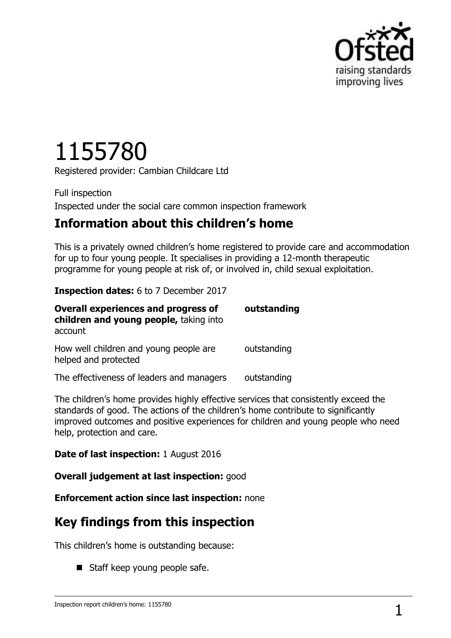

# 1155780

Registered provider: Cambian Childcare Ltd

Full inspection Inspected under the social care common inspection framework

## **Information about this children's home**

This is a privately owned children's home registered to provide care and accommodation for up to four young people. It specialises in providing a 12-month therapeutic programme for young people at risk of, or involved in, child sexual exploitation.

#### **Inspection dates:** 6 to 7 December 2017

| <b>Overall experiences and progress of</b><br>children and young people, taking into<br>account | outstanding |
|-------------------------------------------------------------------------------------------------|-------------|
| How well children and young people are<br>helped and protected                                  | outstanding |
| The effectiveness of leaders and managers                                                       | outstanding |

The children's home provides highly effective services that consistently exceed the standards of good. The actions of the children's home contribute to significantly improved outcomes and positive experiences for children and young people who need help, protection and care.

#### **Date of last inspection:** 1 August 2016

**Overall judgement at last inspection:** good

**Enforcement action since last inspection:** none

## **Key findings from this inspection**

This children's home is outstanding because:

Staff keep young people safe.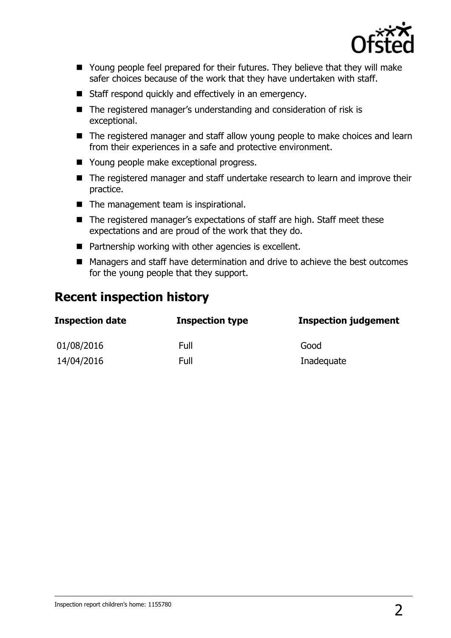

- Young people feel prepared for their futures. They believe that they will make safer choices because of the work that they have undertaken with staff.
- Staff respond quickly and effectively in an emergency.
- The registered manager's understanding and consideration of risk is exceptional.
- The registered manager and staff allow young people to make choices and learn from their experiences in a safe and protective environment.
- Young people make exceptional progress.
- The registered manager and staff undertake research to learn and improve their practice.
- The management team is inspirational.
- The registered manager's expectations of staff are high. Staff meet these expectations and are proud of the work that they do.
- Partnership working with other agencies is excellent.
- Managers and staff have determination and drive to achieve the best outcomes for the young people that they support.

## **Recent inspection history**

| <b>Inspection date</b> | <b>Inspection type</b> | <b>Inspection judgement</b> |
|------------------------|------------------------|-----------------------------|
| 01/08/2016             | Full                   | Good                        |
| 14/04/2016             | Full                   | Inadequate                  |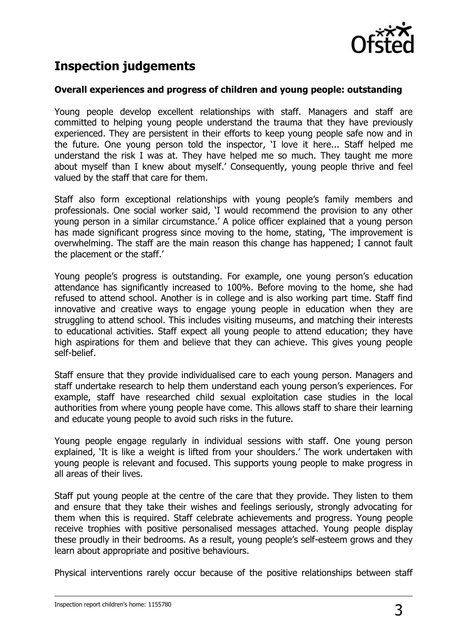

# **Inspection judgements**

#### **Overall experiences and progress of children and young people: outstanding**

Young people develop excellent relationships with staff. Managers and staff are committed to helping young people understand the trauma that they have previously experienced. They are persistent in their efforts to keep young people safe now and in the future. One young person told the inspector, 'I love it here... Staff helped me understand the risk I was at. They have helped me so much. They taught me more about myself than I knew about myself.' Consequently, young people thrive and feel valued by the staff that care for them.

Staff also form exceptional relationships with young people's family members and professionals. One social worker said, 'I would recommend the provision to any other young person in a similar circumstance.' A police officer explained that a young person has made significant progress since moving to the home, stating, 'The improvement is overwhelming. The staff are the main reason this change has happened; I cannot fault the placement or the staff.'

Young people's progress is outstanding. For example, one young person's education attendance has significantly increased to 100%. Before moving to the home, she had refused to attend school. Another is in college and is also working part time. Staff find innovative and creative ways to engage young people in education when they are struggling to attend school. This includes visiting museums, and matching their interests to educational activities. Staff expect all young people to attend education; they have high aspirations for them and believe that they can achieve. This gives young people self-belief.

Staff ensure that they provide individualised care to each young person. Managers and staff undertake research to help them understand each young person's experiences. For example, staff have researched child sexual exploitation case studies in the local authorities from where young people have come. This allows staff to share their learning and educate young people to avoid such risks in the future.

Young people engage regularly in individual sessions with staff. One young person explained, 'It is like a weight is lifted from your shoulders.' The work undertaken with young people is relevant and focused. This supports young people to make progress in all areas of their lives.

Staff put young people at the centre of the care that they provide. They listen to them and ensure that they take their wishes and feelings seriously, strongly advocating for them when this is required. Staff celebrate achievements and progress. Young people receive trophies with positive personalised messages attached. Young people display these proudly in their bedrooms. As a result, young people's self-esteem grows and they learn about appropriate and positive behaviours.

Physical interventions rarely occur because of the positive relationships between staff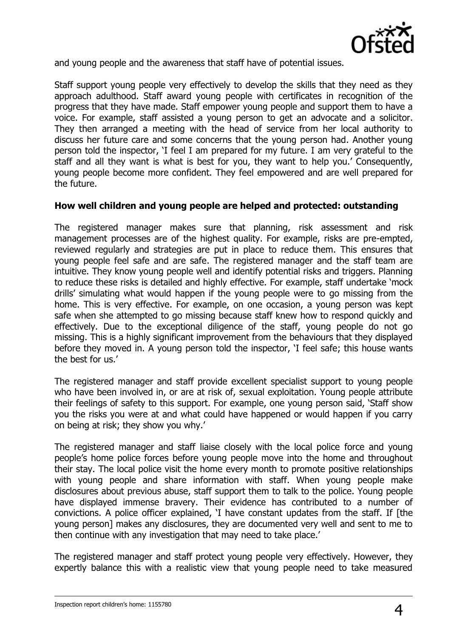

and young people and the awareness that staff have of potential issues.

Staff support young people very effectively to develop the skills that they need as they approach adulthood. Staff award young people with certificates in recognition of the progress that they have made. Staff empower young people and support them to have a voice. For example, staff assisted a young person to get an advocate and a solicitor. They then arranged a meeting with the head of service from her local authority to discuss her future care and some concerns that the young person had. Another young person told the inspector, 'I feel I am prepared for my future. I am very grateful to the staff and all they want is what is best for you, they want to help you.' Consequently, young people become more confident. They feel empowered and are well prepared for the future.

#### **How well children and young people are helped and protected: outstanding**

The registered manager makes sure that planning, risk assessment and risk management processes are of the highest quality. For example, risks are pre-empted, reviewed regularly and strategies are put in place to reduce them. This ensures that young people feel safe and are safe. The registered manager and the staff team are intuitive. They know young people well and identify potential risks and triggers. Planning to reduce these risks is detailed and highly effective. For example, staff undertake 'mock drills' simulating what would happen if the young people were to go missing from the home. This is very effective. For example, on one occasion, a young person was kept safe when she attempted to go missing because staff knew how to respond quickly and effectively. Due to the exceptional diligence of the staff, young people do not go missing. This is a highly significant improvement from the behaviours that they displayed before they moved in. A young person told the inspector, 'I feel safe; this house wants the best for us.'

The registered manager and staff provide excellent specialist support to young people who have been involved in, or are at risk of, sexual exploitation. Young people attribute their feelings of safety to this support. For example, one young person said, 'Staff show you the risks you were at and what could have happened or would happen if you carry on being at risk; they show you why.'

The registered manager and staff liaise closely with the local police force and young people's home police forces before young people move into the home and throughout their stay. The local police visit the home every month to promote positive relationships with young people and share information with staff. When young people make disclosures about previous abuse, staff support them to talk to the police. Young people have displayed immense bravery. Their evidence has contributed to a number of convictions. A police officer explained, 'I have constant updates from the staff. If [the young person] makes any disclosures, they are documented very well and sent to me to then continue with any investigation that may need to take place.'

The registered manager and staff protect young people very effectively. However, they expertly balance this with a realistic view that young people need to take measured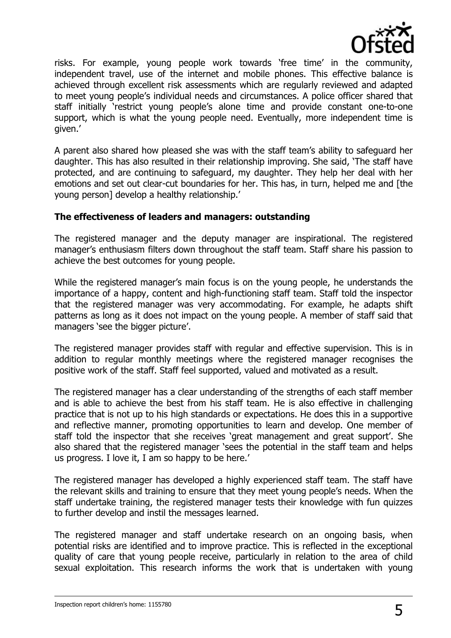

risks. For example, young people work towards 'free time' in the community, independent travel, use of the internet and mobile phones. This effective balance is achieved through excellent risk assessments which are regularly reviewed and adapted to meet young people's individual needs and circumstances. A police officer shared that staff initially 'restrict young people's alone time and provide constant one-to-one support, which is what the young people need. Eventually, more independent time is given.'

A parent also shared how pleased she was with the staff team's ability to safeguard her daughter. This has also resulted in their relationship improving. She said, 'The staff have protected, and are continuing to safeguard, my daughter. They help her deal with her emotions and set out clear-cut boundaries for her. This has, in turn, helped me and [the young person] develop a healthy relationship.'

#### **The effectiveness of leaders and managers: outstanding**

The registered manager and the deputy manager are inspirational. The registered manager's enthusiasm filters down throughout the staff team. Staff share his passion to achieve the best outcomes for young people.

While the registered manager's main focus is on the young people, he understands the importance of a happy, content and high-functioning staff team. Staff told the inspector that the registered manager was very accommodating. For example, he adapts shift patterns as long as it does not impact on the young people. A member of staff said that managers 'see the bigger picture'.

The registered manager provides staff with regular and effective supervision. This is in addition to regular monthly meetings where the registered manager recognises the positive work of the staff. Staff feel supported, valued and motivated as a result.

The registered manager has a clear understanding of the strengths of each staff member and is able to achieve the best from his staff team. He is also effective in challenging practice that is not up to his high standards or expectations. He does this in a supportive and reflective manner, promoting opportunities to learn and develop. One member of staff told the inspector that she receives 'great management and great support'. She also shared that the registered manager 'sees the potential in the staff team and helps us progress. I love it, I am so happy to be here.'

The registered manager has developed a highly experienced staff team. The staff have the relevant skills and training to ensure that they meet young people's needs. When the staff undertake training, the registered manager tests their knowledge with fun quizzes to further develop and instil the messages learned.

The registered manager and staff undertake research on an ongoing basis, when potential risks are identified and to improve practice. This is reflected in the exceptional quality of care that young people receive, particularly in relation to the area of child sexual exploitation. This research informs the work that is undertaken with young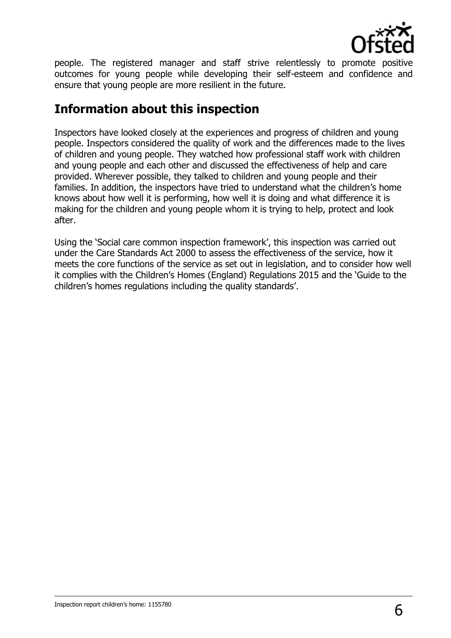

people. The registered manager and staff strive relentlessly to promote positive outcomes for young people while developing their self-esteem and confidence and ensure that young people are more resilient in the future.

## **Information about this inspection**

Inspectors have looked closely at the experiences and progress of children and young people. Inspectors considered the quality of work and the differences made to the lives of children and young people. They watched how professional staff work with children and young people and each other and discussed the effectiveness of help and care provided. Wherever possible, they talked to children and young people and their families. In addition, the inspectors have tried to understand what the children's home knows about how well it is performing, how well it is doing and what difference it is making for the children and young people whom it is trying to help, protect and look after.

Using the 'Social care common inspection framework', this inspection was carried out under the Care Standards Act 2000 to assess the effectiveness of the service, how it meets the core functions of the service as set out in legislation, and to consider how well it complies with the Children's Homes (England) Regulations 2015 and the 'Guide to the children's homes regulations including the quality standards'.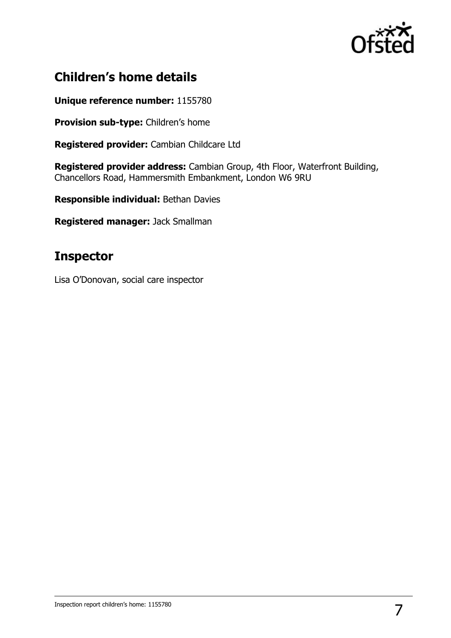

# **Children's home details**

**Unique reference number:** 1155780

**Provision sub-type:** Children's home

**Registered provider:** Cambian Childcare Ltd

**Registered provider address:** Cambian Group, 4th Floor, Waterfront Building, Chancellors Road, Hammersmith Embankment, London W6 9RU

**Responsible individual:** Bethan Davies

**Registered manager:** Jack Smallman

## **Inspector**

Lisa O'Donovan, social care inspector